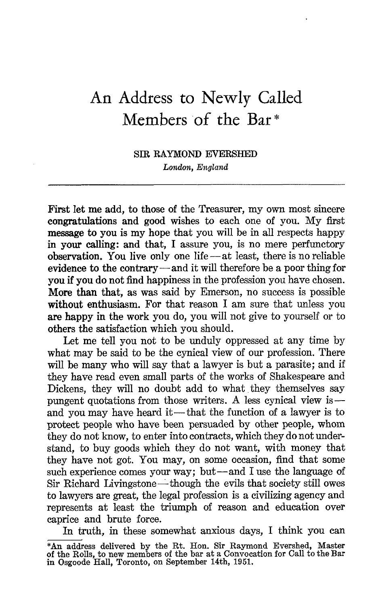## An Address to Newly Called Members of the Bar

## SIR RAYMOND EVERSHED London, England

First let me add, to those of the Treasurer, my own most sincere congratulations and good wishes to each one of you. My first message to you is my hope that you will be in all respects happy in your calling: and that, I assure you, is no mere perfunctory observation. You live only one life $-$ at least, there is no reliable evidence to the contrary-and it will therefore be a poor thing for you if you do not find happiness in the profession you have chosen. More than that, as was said by Emerson, no success is possible without enthusiasm. For that reason I am sure that unless you are happy in the work you do, you will not give to yourself or to others the satisfaction which you should.

Let me tell you not to be unduly oppressed at any time by what may be said to be the cynical view of our profession. There will be many who will say that a lawyer is but a parasite; and if they have read even small parts of the works of Shakespeare and Dickens, they will no doubt add to what they themselves say pungent quotations from those writers. A less cynical view is and you may have heard it—that the function of a lawyer is to protect people who have been persuaded by other people, whom they do not know, to enter into contracts, which they do not understand, to buy goods which they do not want, with money that they have not got. You may, on some occasion, find that some such experience comes your way; but-and I use the language of Sir Richard Livingstone—though the evils that society still owes to lawyers are great, the legal profession is a civilizing agency and represents at least the triumph of reason and education over caprice and brute force.

In truth, in these somewhat anxious days, <sup>I</sup> think you can \*An address delivered by the Rt. Hon. Sir Raymond Evershed, Master of the Rolls, to new members of the bar at a Convocation for Call to the Bar in Osgoode Hall, Toronto, on September 14th, 1951.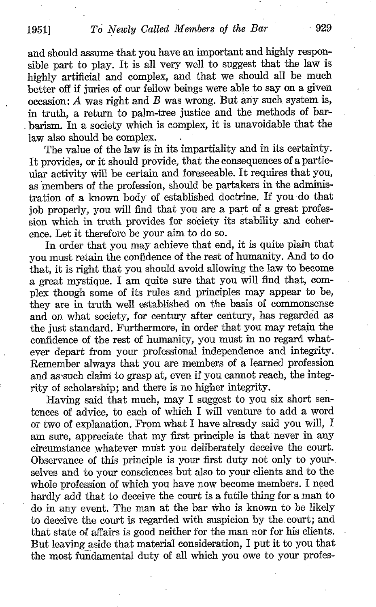and should assume that you have an important and highly responsible part to play. It is all very well to suggest that the law is highly artificial and complex, and that we should all be much better off if juries of our fellow beings were able to say on a given occasion:  $A$  was right and  $B$  was wrong. But any such system is, in truth, a return to palm-tree justice and the methods of barbarism. In a society which is complex, it is unavoidable that the law also should be complex.

The value of the law is in its impartiality and in its certainty. It provides, or it should provide, that the consequences of a particular activity will be certain and foreseeable . It requires that you, as members of the profession, should be partakers in the administration of a known body of established doctrine. If you do that job properly, you will find that you are a part of a great profession which in truth provides for society its stability and coherence. Let it therefore be your aim to do so.

In order that you may achieve that end, it is quite plain that you must retain the confidence of the rest of humanity. And to do that, it is right that you should avoid allowing the law to become a great mystique. <sup>I</sup> am quite sure that you will find that, complex though some of its rules and principles may appear to be, they are in truth well established on the basis of commonsense and on what society, for century after century, has regarded as the just standard. Furthermore, in order that you may retain the confidence of the rest of humanity, you must in no regard whatever depart from your professional independence and integrity. Remember always that you are members of a learned profession and assuch claim to grasp at, even if you cannot reach, the integrity of scholarship; and there is no higher integrity.

Having said that much, may <sup>I</sup> suggest to you six short sentences of advice, to each of which <sup>I</sup> will venture to add a word or two of explanation. From what <sup>I</sup> have already said you will, <sup>I</sup> am sure, appreciate that my first principle is that- never in any circumstance whatever must you deliberately deceive the court. Observance of this principle is your first duty not only to your-. selves and to your consciences but also to your clients and to the whole profession of which you have now become members. <sup>I</sup> need hardly add that to deceive the court is a futile thing for a man to do in any event. The man at the bar who is known to be likely to deceive the court is regarded with suspicion by the court; and that state of affairs is good neither for the man nor for his clients . But leaving aside that material consideration, <sup>I</sup> put it to you that the most fundamental duty of all which you owe to your profes-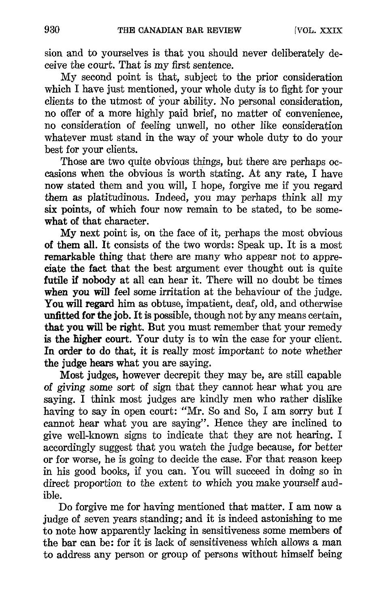sion and to yourselves is that you should never deliberately deceive the court. That is my first sentence.

My second point is that, subject to the prior consideration which I have just mentioned, your whole duty is to fight for your clients to the utmost of your ability. No personal consideration, no offer of a more highly paid brief, no matter of convenience, no consideration of feeling unwell, no other like consideration whatever must stand in the way of your whole duty to do your best for your clients.

Those are two quite obvious things, but there are perhaps occasions when the obvious is worth stating. At any rate, I have now stated them and you will, <sup>I</sup> hope, forgive me if you regard them as platitudinous. Indeed, you may perhaps think all my six points, of which four now remain to be stated, to be somewhat of that character.

My next point is, on the face of it, perhaps the most obvious of them all. It consists of the two words : Speak up. It is a most remarkable thing that there are many who appear not to appre ciate the fact that the best argument ever thought out is quite futile if nobody at all can hear it. There will no doubt be times when you will feel some irritation at the behaviour of the judge. You will regard him as obtuse, impatient, deaf, old, and otherwise unfitted for the job. It is possible, though not by any means certain, that you will be right. But you must remember that your remedy is the higher court. Your duty is to win the case for your client. In order to do that, it is really most important to note whether the judge hears what you are saying.

Most judges, however decrepit they may be, are still capable of giving some sort of sign that they cannot hear what you are saying. <sup>I</sup> think most judges are kindly men who rather dislike having to say in open court: "Mr. So and So, I am sorry but I cannot hear what you are saying". Hence they are inclined to give well-known signs to indicate that they are not hearing. <sup>I</sup> accordingly suggest that you watch the judge because, for better or for worse, he is going to decide the case . For that reason keep in his good books, if you can. You will succeed in doing so in direct proportion to the extent to which you make yourself audible.

Do forgive me for having mentioned that matter . <sup>I</sup> am now a judge of seven years standing ; and it is indeed astonishing to me to note how apparently lacking in sensitiveness some members of the bar can be: for it is lack of sensitiveness which allows a man to address any person or group of persons without himself being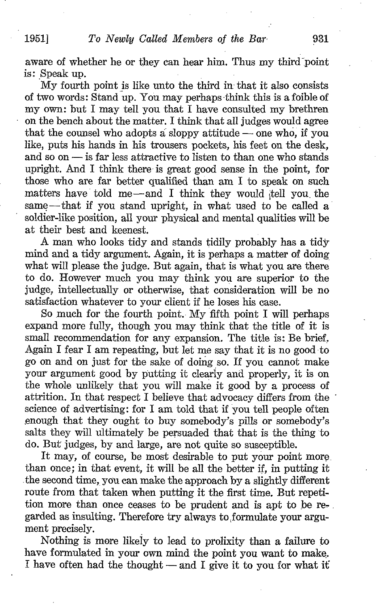aware of whether he or they can hear him. Thus my third point is: Speak up.

My fourth point is like unto the third in that it also consists of two words: Stand up. You may perhaps-think this is a foible of my own: but I may tell you that I have consulted my brethren on the bench about the matter. <sup>I</sup> think that all judges would agree that the counsel who adopts a sloppy attitude  $-$  one who, if you like, puts his hands in his trousers pockets, his feet on the desk, and so on  $-$  is far less attractive to listen to than one who stands upright. And <sup>I</sup> think there- is great good sense in the point, for those who are far better qualified than am <sup>I</sup> to speak on such matters have told me $-$ and I think they would tell you the same—that if you stand upright, in what used to be called a soldier-like position, all your physical and mental qualities will be at their best and keenest.

A man who looks tidy and stands tidily probably has <sup>a</sup> tidy mind and a tidy argument. Again, it is perhaps a matter of doing what will please the judge. But again, that is what you are there to do. However much you may think you are superior to the judge, intellectually or otherwise, that consideration will be no satisfaction whatever to your client if he loses his case.

So much for the fourth point. My fifth point <sup>I</sup> will perhaps expand more fully, though you may think that the title of it is small recommendation for any expansion. The title is: Be brief. Again <sup>I</sup> fear <sup>I</sup> am repeating, but let me say that it is no good to go on and on just for the sake of doing so. If you cannot make your argument good by putting it clearly and properly, it is on the whole unlikely that you will make it good by a process of attrition. In that respect I believe that advocacy differs from the science of advertising: for I am told that if you tell people often enough that they ought to buy somebody's pills or somebody's salts they will ultimately be persuaded that that is the thing to do. But judges, by and large, are not quite so susceptible .

It may, of course, be most desirable to put your point more than once ; in that event, it will be all the better if, in putting it the second time, you can make the approach by a slightly different route from that taken when putting it the first time. But repetition more than once ceases to be prudent and is apt to be re- . garded as insulting. Therefore try always to formulate your argument precisely.

Nothing is more likely to lead to prolixity than a failure to have formulated in your own mind the point you want to make, I have often had the thought  $-$  and I give it to you for what it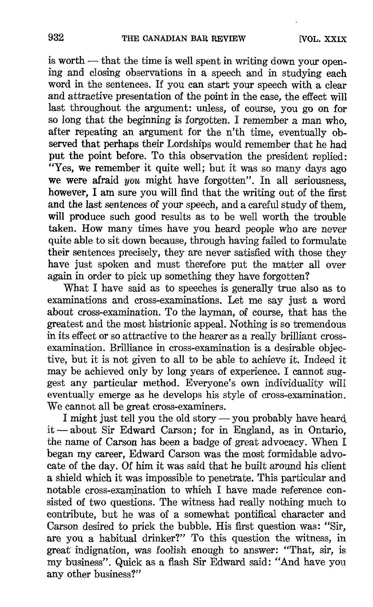is worth -- that the time is well spent in writing down your opening and closing observations in a speech and in studying each word in the sentences. If you can start your speech with a clear and attractive presentation of the point in the case, the effect will last throughout the argument: unless, of course, you go on for so long that the beginning is forgotten. I remember a man who, after repeating an argument for the n'th time, eventually observed that perhaps their Lordships would remember that he had put the point before. To this observation the president replied: "Yes, we remember it quite well; but it was so many days ago we were afraid you might have forgotten". In all seriousness, however, <sup>I</sup> am sure you will find that the writing out of the first and the last sentences of your speech, and a careful study of them, will produce such good results as to be well worth the trouble taken. How many times have you heard people who are never quite able to sit down because, through having failed to formulate their sentences precisely, they are never satisfied with those they have just spoken and must therefore put the matter all over again in order to pick up something they have forgotten?

What I have said as to speeches is generally true also as to examinations and cross-examinations . Let me say just a word about cross-examination. To the layman, of course, that has the greatest and the most histrionic appeal . Nothing is so tremendous in its effect or so attractive to the hearer as a really brilliant crossexamination. Brilliance in cross-examination is a desirable objective, but it is not given to all to be able to achieve it . Indeed it may be achieved only by long years of experience . <sup>I</sup> cannot suggest any particular method. Everyone's own individuality will eventually emerge as he develops his style of cross-examination. We cannot all be great cross-examiners.

I might just tell you the old story — you probably have heard. it -about Sir Edward Carson; for in England, as in Ontario, the name of Carson has been a badge of great advocacy. When <sup>I</sup> began my career, Edward Carson was the most formidable advocate of the day. Of him it was said that he built around his client a shield which it was impossible to penetrate. This particular and notable cross-examination to which I have made reference consisted of two questions. The witness had really nothing much to contribute, but he was of a somewhat pontifical character and Carson desired to prick the bubble. His first question was: "Sir, are you a habitual drinker?" To this question the witness, in great indignation, was foolish enough to answer: "That, sir, is my business". Quick as a flash Sir Edward said: "And have you any other business?"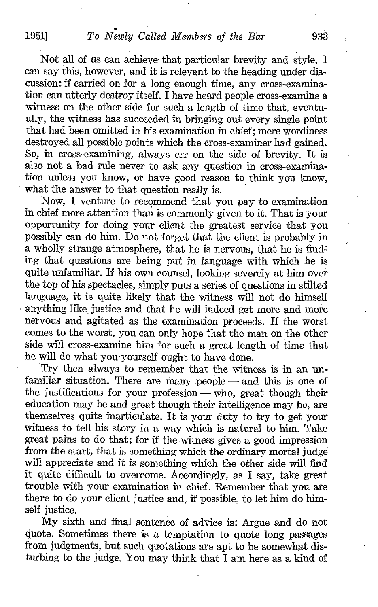Not all of us can achieve that particular brevity and style. <sup>I</sup> can say this, however, and it is relevant to the heading under discussion: if carried on for a long enough time, any cross-examination can utterly destroy itself. <sup>I</sup> have heard people cross-examine a witness on the other side for such a length of time that, eventually, the witness has succeeded in bringing out every single point that had been omitted in his examination in chief ; mere wordiness destroyed all possible points which the cross-examiner had gained. So, in cross-examining, always err on the side of brevity. It is also not a bad rule never to ask any question in cross-examination unless you know, or have good reason to think you know, what the answer to that question really is.

Now, <sup>I</sup> venture to recommend that you pay to examination in chief more attention than is commonly given to it . That is your opportunity for doing your client the greatest service that you possibly can do him. Do not forget that the client is probably in a wholly strange atmosphere, that he is nervous, that he is finding that questions are being put in language with which he is quite unfamiliar. If his own counsel, looking severely at him over the top of his spectacles, simply puts a series of questions in stilted language, it is quite likely that the witness will not do himself anything like justice and that he will indeed get more and more nervous and agitated as the examination proceeds. If the worst comes to the worst, you can only hope that the man on the other side will cross-examine him for such a great length of time that he will do what you-yourself ought to have done.

Try then always to remember that the witness is in an unfamiliar situation. There are many  $people - and this$  is one of the justifications for your profession  $-\text{who}$ , great though their education may be and great though their intelligence may be, are themselves quite inarticulate. It is your duty to try to get your witness to tell his story in a way which is natural to him. Take great pains to do that; for if the witness gives a good impression from the start, that is something which the ordinary mortal judge will appreciate and it is something which the other side will find it quite difficult to overcome. Accordingly, as I say, take great trouble with your examination in chief. Remember that you are there to do your client justice and, if possible, to let him do himself justice.

My sixth and final sentence of advice is : Argue and do not quote. Sometimes there is a temptation to quote long passages from judgments, but such quotations are apt to be somewhat disturbing to the judge. You may think that <sup>I</sup> am here as a kind of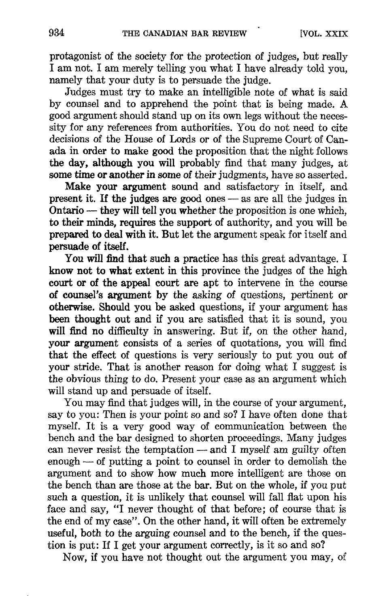protagonist of the society for the protection of judges, but really <sup>I</sup> am not. <sup>I</sup> am merely telling you what <sup>I</sup> have already told you, namely that your duty is to persuade the judge.

Judges must try to make an intelligible note of what is said by counsel and to apprehend the point that is being made. A good argument should stand up on its own legs without the necessity for any references from authorities. You do not need to cite decisions of the House of Lords or of the Supreme Court of Canada in order to make good the proposition that the night follows the day, although you will probably find that many judges, at some time or another in some of their judgments, have so asserted.

Make your argument sound and satisfactory in itself, and present it. If the judges are good ones  $-$  as are all the judges in  $Ontario$   $-$  they will tell you whether the proposition is one which, to their minds, requires the support of authority, and you will be prepared to deal with it. But let the argument speak for itself and persuade of itself.

You will find that such a practice has this great advantage. <sup>I</sup> know not to what extent in this province the judges of the high court or of the appeal court are apt to intervene in the course of counsel's argument by the asking of questions, pertinent or otherwise. Should you be asked questions, if your argument has been thought out and if you are satisfied that it is sound, you will find no difficulty in answering. But if, on the other hand, your argument consists of a series of quotations, you will find that the effect of questions is very seriously to put you out of your stride. That is another reason for doing what I suggest is the obvious thing to do. Present your case as an argument which will stand up and persuade of itself.

Youmay find that judges will, in the course of your argument, say to you: Then is your point so and so? I have often done that myself. It is a very good way of communication between the bench and the bar designed to shorten proceedings. Many judges can never resist the temptation  $-$  and I myself am guilty often  $enough - of putting a point to course in order to demolish the$ argument and to show how much more intelligent are those on the bench than are those at the bar. But on the whole, if you put such a question, it is unlikely that counsel will fall flat upon his face and say, "I never thought of that before; of course that is the end of my case". On the other hand, it will often be extremely useful, both to the arguing counsel and to the bench, if the question is put: If I get your argument correctly, is it so and so?

Now, if you have not thought out the argument you may, of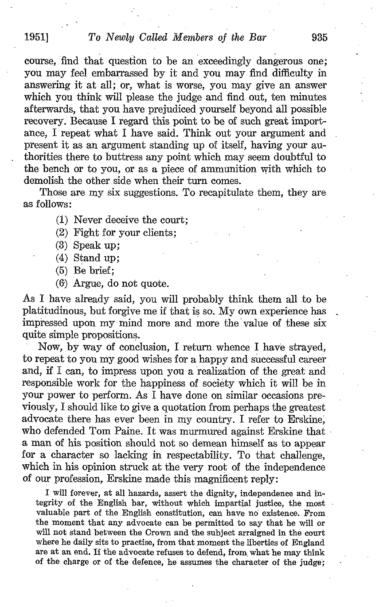course, find that question to be an exceedingly dangerous one ; you may feel embarrassed by it and you may find difficulty in answering it at all; or, what is worse, you may give an answer which you think will please the judge and find out, ten minutes afterwards, that you have prejudiced yourself beyond All possible recovery. Because I regard this point to be of such great importance. I repeat what I have said. Think out your argument and present it as an argument standing up of itself, having your authorities there to buttress any point which may seem doubtful to the bench or to you, or as a piece of ammunition with which to demolish the other side when their turn comes.

Those are my six suggestions. To recapitulate them, they are as follows:

- (1) Never deceive the court;
- (2) Fight for your clients ;
- (3) Speak up;
- (4) Stand up;
- (5) Be brief;
- (6) Argue, do not quote.

As I have already said, you will probably think them all to be platitudinous, but forgive me if that is so. My own experience has impressed upon my mind more and more the 'value of these six quite simple propositions.

Now, by way of conclusion, I return whence <sup>I</sup> have strayed, to repeat to you my good wishes for a happy and successful career and, if I can, to impress upon you a realization of the great and responsible work for the happiness of society which it will be in your power to perform. As <sup>I</sup> have done on similar occasions previously, <sup>I</sup> should like to give a quotation from perhaps the greatest advocate there has ever been in my country. <sup>I</sup> refer to Erskine, who defended Tom Paine. It was murmured against Erskine that a man of his position should not so demean himself as to appear for a character so lacking in respectability. To that challenge, which in his opinion struck at the very root of the independence of our profession, Erskine made this magnificent reply :

I will forever, at all hazards, assert the dignity, independence and integrity of the English bar, without which impartial justice, the most valuable part of the English constitution, can have no existence . From the moment that any advocate can be permitted to say that he will or will not stand between the Crown and the subject arraigned in the court where he daily sits to practise, from that moment the liberties of England are at an end. If the advocate refuses to defend, from, what he may think of the charge or of the defence, he assumes the character of the judge;